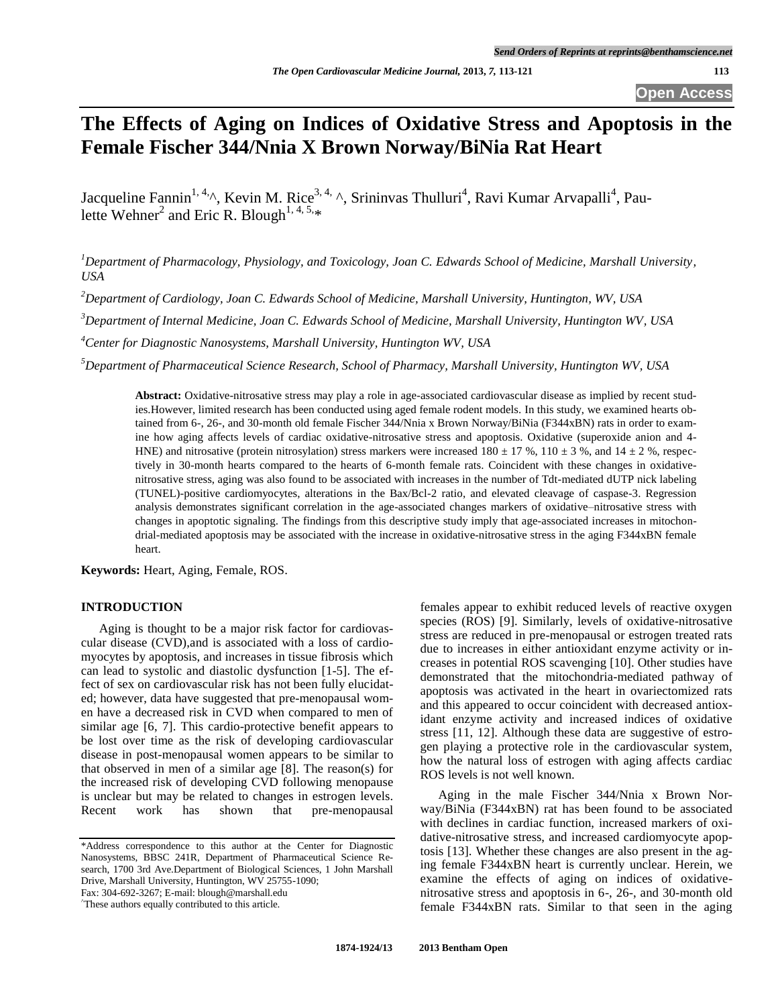# **The Effects of Aging on Indices of Oxidative Stress and Apoptosis in the Female Fischer 344/Nnia X Brown Norway/BiNia Rat Heart**

Jacqueline Fannin<sup>1, 4,</sup>^, Kevin M. Rice<sup>3, 4,</sup> ^, Srininvas Thulluri<sup>4</sup>, Ravi Kumar Arvapalli<sup>4</sup>, Paulette Wehner<sup>2</sup> and Eric R. Blough<sup>1, 4, 5,\*</sup>

*<sup>1</sup>Department of Pharmacology, Physiology, and Toxicology, Joan C. Edwards School of Medicine, Marshall University, USA* 

*<sup>2</sup>Department of Cardiology, Joan C. Edwards School of Medicine, Marshall University, Huntington, WV, USA* 

*<sup>3</sup>Department of Internal Medicine, Joan C. Edwards School of Medicine, Marshall University, Huntington WV, USA* 

*<sup>4</sup>Center for Diagnostic Nanosystems, Marshall University, Huntington WV, USA* 

*<sup>5</sup>Department of Pharmaceutical Science Research, School of Pharmacy, Marshall University, Huntington WV, USA* 

**Abstract:** Oxidative-nitrosative stress may play a role in age-associated cardiovascular disease as implied by recent studies.However, limited research has been conducted using aged female rodent models. In this study, we examined hearts obtained from 6-, 26-, and 30-month old female Fischer 344/Nnia x Brown Norway/BiNia (F344xBN) rats in order to examine how aging affects levels of cardiac oxidative-nitrosative stress and apoptosis. Oxidative (superoxide anion and 4- HNE) and nitrosative (protein nitrosylation) stress markers were increased  $180 \pm 17$  %,  $110 \pm 3$  %, and  $14 \pm 2$  %, respectively in 30-month hearts compared to the hearts of 6-month female rats. Coincident with these changes in oxidativenitrosative stress, aging was also found to be associated with increases in the number of Tdt-mediated dUTP nick labeling (TUNEL)-positive cardiomyocytes, alterations in the Bax/Bcl-2 ratio, and elevated cleavage of caspase-3. Regression analysis demonstrates significant correlation in the age-associated changes markers of oxidative–nitrosative stress with changes in apoptotic signaling. The findings from this descriptive study imply that age-associated increases in mitochondrial-mediated apoptosis may be associated with the increase in oxidative-nitrosative stress in the aging F344xBN female heart.

**Keywords:** Heart, Aging, Female, ROS.

# **INTRODUCTION**

 Aging is thought to be a major risk factor for cardiovascular disease (CVD),and is associated with a loss of cardiomyocytes by apoptosis, and increases in tissue fibrosis which can lead to systolic and diastolic dysfunction [\[1-5\]](#page-7-0). The effect of sex on cardiovascular risk has not been fully elucidated; however, data have suggested that pre-menopausal women have a decreased risk in CVD when compared to men of similar age [\[6,](#page-7-1) [7\]](#page-7-2). This cardio-protective benefit appears to be lost over time as the risk of developing cardiovascular disease in post-menopausal women appears to be similar to that observed in men of a similar age [\[8\]](#page-7-3). The reason(s) for the increased risk of developing CVD following menopause is unclear but may be related to changes in estrogen levels. Recent work has shown that pre-menopausal

\*Address correspondence to this author at the Center for Diagnostic Nanosystems, BBSC 241R, Department of Pharmaceutical Science Research, 1700 3rd Ave.Department of Biological Sciences, 1 John Marshall Drive, Marshall University, Huntington, WV 25755-1090; Fax: 304-692-3267; E-mail[: blough@marshall.edu](mailto:blough@marshall.edu)

^These authors equally contributed to this article.

females appear to exhibit reduced levels of reactive oxygen species (ROS) [\[9\]](#page-7-4). Similarly, levels of oxidative-nitrosative stress are reduced in pre-menopausal or estrogen treated rats due to increases in either antioxidant enzyme activity or increases in potential ROS scavenging [\[10\]](#page-7-5). Other studies have demonstrated that the mitochondria-mediated pathway of apoptosis was activated in the heart in ovariectomized rats and this appeared to occur coincident with decreased antioxidant enzyme activity and increased indices of oxidative stress [\[11,](#page-7-6) [12\]](#page-7-7). Although these data are suggestive of estrogen playing a protective role in the cardiovascular system, how the natural loss of estrogen with aging affects cardiac ROS levels is not well known.

 Aging in the male Fischer 344/Nnia x Brown Norway/BiNia (F344xBN) rat has been found to be associated with declines in cardiac function, increased markers of oxidative-nitrosative stress, and increased cardiomyocyte apoptosis [\[13\]](#page-7-8). Whether these changes are also present in the aging female F344xBN heart is currently unclear. Herein, we examine the effects of aging on indices of oxidativenitrosative stress and apoptosis in 6-, 26-, and 30-month old female F344xBN rats. Similar to that seen in the aging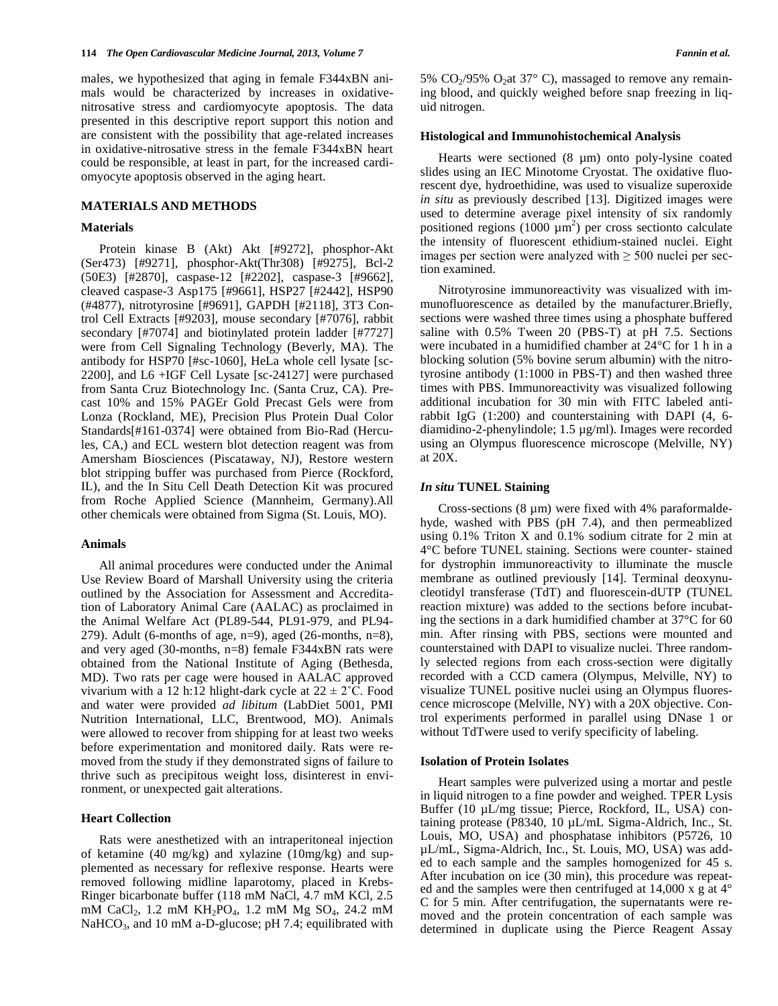males, we hypothesized that aging in female F344xBN animals would be characterized by increases in oxidativenitrosative stress and cardiomyocyte apoptosis. The data presented in this descriptive report support this notion and are consistent with the possibility that age-related increases in oxidative-nitrosative stress in the female F344xBN heart could be responsible, at least in part, for the increased cardiomyocyte apoptosis observed in the aging heart.

# **MATERIALS AND METHODS**

### **Materials**

 Protein kinase B (Akt) Akt [#9272], phosphor-Akt (Ser473) [#9271], phosphor-Akt(Thr308) [#9275], Bcl-2 (50E3) [#2870], caspase-12 [#2202], caspase-3 [#9662], cleaved caspase-3 Asp175 [#9661], HSP27 [#2442], HSP90 (#4877), nitrotyrosine [#9691], GAPDH [#2118], 3T3 Control Cell Extracts [#9203], mouse secondary [#7076], rabbit secondary [#7074] and biotinylated protein ladder [#7727] were from Cell Signaling Technology (Beverly, MA). The antibody for HSP70 [#sc-1060], HeLa whole cell lysate [sc-2200], and L6 +IGF Cell Lysate [sc-24127] were purchased from Santa Cruz Biotechnology Inc. (Santa Cruz, CA). Precast 10% and 15% PAGEr Gold Precast Gels were from Lonza (Rockland, ME), Precision Plus Protein Dual Color Standards[#161-0374] were obtained from Bio-Rad (Hercules, CA,) and ECL western blot detection reagent was from Amersham Biosciences (Piscataway, NJ), Restore western blot stripping buffer was purchased from Pierce (Rockford, IL), and the In Situ Cell Death Detection Kit was procured from Roche Applied Science (Mannheim, Germany).All other chemicals were obtained from Sigma (St. Louis, MO).

# **Animals**

 All animal procedures were conducted under the Animal Use Review Board of Marshall University using the criteria outlined by the Association for Assessment and Accreditation of Laboratory Animal Care (AALAC) as proclaimed in the Animal Welfare Act (PL89-544, PL91-979, and PL94- 279). Adult (6-months of age, n=9), aged (26-months, n=8), and very aged (30-months, n=8) female F344xBN rats were obtained from the National Institute of Aging (Bethesda, MD). Two rats per cage were housed in AALAC approved vivarium with a 12 h:12 hlight-dark cycle at  $22 \pm 2^{\circ}$ C. Food and water were provided *ad libitum* (LabDiet 5001, PMI Nutrition International, LLC, Brentwood, MO). Animals were allowed to recover from shipping for at least two weeks before experimentation and monitored daily. Rats were removed from the study if they demonstrated signs of failure to thrive such as precipitous weight loss, disinterest in environment, or unexpected gait alterations.

# **Heart Collection**

Rats were anesthetized with an intraperitoneal injection of ketamine (40 mg/kg) and xylazine (10mg/kg) and supplemented as necessary for reflexive response. Hearts were removed following midline laparotomy, placed in Krebs-Ringer bicarbonate buffer (118 mM NaCl, 4.7 mM KCl, 2.5 mM CaCl<sub>2</sub>, 1.2 mM KH<sub>2</sub>PO<sub>4</sub>, 1.2 mM Mg SO<sub>4</sub>, 24.2 mM NaHCO<sub>3</sub>, and 10 mM a-D-glucose; pH 7.4; equilibrated with 5%  $CO<sub>2</sub>/95%$   $O<sub>2</sub>$ at 37° C), massaged to remove any remaining blood, and quickly weighed before snap freezing in liquid nitrogen.

#### **Histological and Immunohistochemical Analysis**

Hearts were sectioned (8 µm) onto poly-lysine coated slides using an IEC Minotome Cryostat. The oxidative fluorescent dye, hydroethidine, was used to visualize superoxide *in situ* as previously described [\[13\]](#page-7-8). Digitized images were used to determine average pixel intensity of six randomly positioned regions  $(1000 \mu m^2)$  per cross sectionto calculate the intensity of fluorescent ethidium-stained nuclei. Eight images per section were analyzed with  $\geq$  500 nuclei per section examined.

Nitrotyrosine immunoreactivity was visualized with immunofluorescence as detailed by the manufacturer.Briefly, sections were washed three times using a phosphate buffered saline with 0.5% Tween 20 (PBS-T) at pH 7.5. Sections were incubated in a humidified chamber at 24°C for 1 h in a blocking solution (5% bovine serum albumin) with the nitrotyrosine antibody (1:1000 in PBS-T) and then washed three times with PBS. Immunoreactivity was visualized following additional incubation for 30 min with FITC labeled antirabbit IgG (1:200) and counterstaining with DAPI (4, 6 diamidino-2-phenylindole; 1.5 µg/ml). Images were recorded using an Olympus fluorescence microscope (Melville, NY) at 20X.

#### *In situ* **TUNEL Staining**

Cross-sections  $(8 \mu m)$  were fixed with 4% paraformaldehyde, washed with PBS (pH 7.4), and then permeablized using 0.1% Triton X and 0.1% sodium citrate for 2 min at 4°C before TUNEL staining. Sections were counter- stained for dystrophin immunoreactivity to illuminate the muscle membrane as outlined previously [\[14\]](#page-7-9). Terminal deoxynucleotidyl transferase (TdT) and fluorescein-dUTP (TUNEL reaction mixture) was added to the sections before incubating the sections in a dark humidified chamber at 37°C for 60 min. After rinsing with PBS, sections were mounted and counterstained with DAPI to visualize nuclei. Three randomly selected regions from each cross-section were digitally recorded with a CCD camera (Olympus, Melville, NY) to visualize TUNEL positive nuclei using an Olympus fluorescence microscope (Melville, NY) with a 20X objective. Control experiments performed in parallel using DNase 1 or without TdTwere used to verify specificity of labeling.

## **Isolation of Protein Isolates**

 Heart samples were pulverized using a mortar and pestle in liquid nitrogen to a fine powder and weighed. TPER Lysis Buffer (10 µL/mg tissue; Pierce, Rockford, IL, USA) containing protease (P8340, 10 µL/mL Sigma-Aldrich, Inc., St. Louis, MO, USA) and phosphatase inhibitors (P5726, 10 µL/mL, Sigma-Aldrich, Inc., St. Louis, MO, USA) was added to each sample and the samples homogenized for 45 s. After incubation on ice (30 min), this procedure was repeated and the samples were then centrifuged at 14,000 x g at 4° C for 5 min. After centrifugation, the supernatants were removed and the protein concentration of each sample was determined in duplicate using the Pierce Reagent Assay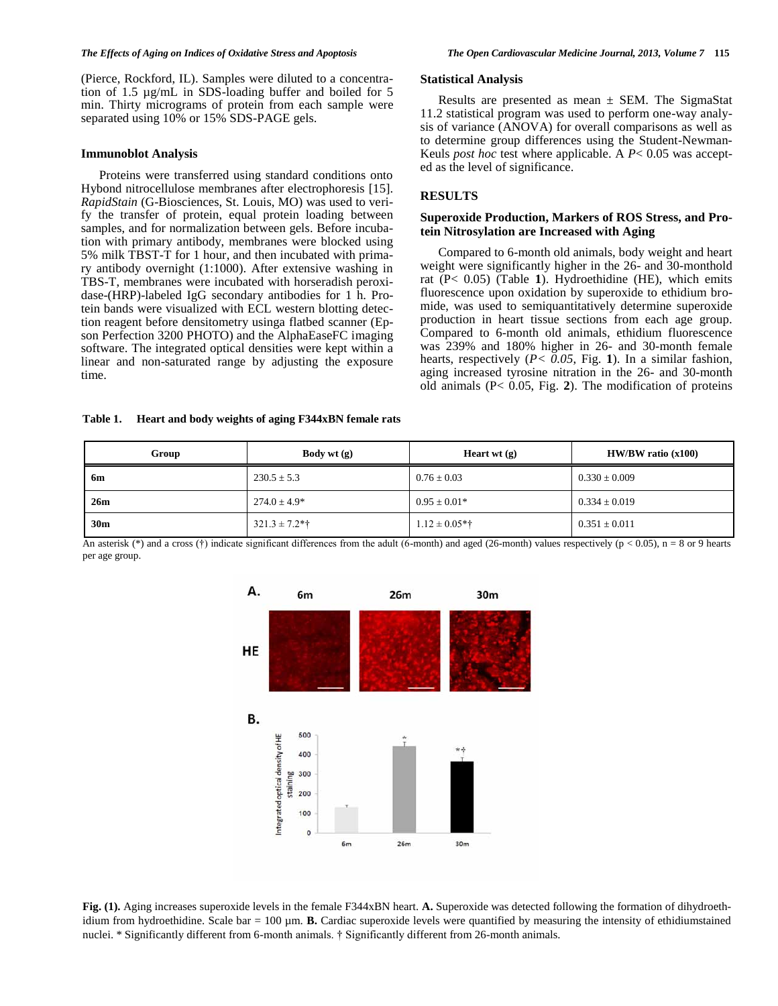(Pierce, Rockford, IL). Samples were diluted to a concentration of 1.5 µg/mL in SDS-loading buffer and boiled for 5 min. Thirty micrograms of protein from each sample were separated using 10% or 15% SDS-PAGE gels.

# **Immunoblot Analysis**

 Proteins were transferred using standard conditions onto Hybond nitrocellulose membranes after electrophoresis [\[15\]](#page-7-10). *RapidStain* (G-Biosciences, St. Louis, MO) was used to verify the transfer of protein, equal protein loading between samples, and for normalization between gels. Before incubation with primary antibody, membranes were blocked using 5% milk TBST-T for 1 hour, and then incubated with primary antibody overnight (1:1000). After extensive washing in TBS-T, membranes were incubated with horseradish peroxidase-(HRP)-labeled IgG secondary antibodies for 1 h. Protein bands were visualized with ECL western blotting detection reagent before densitometry usinga flatbed scanner (Epson Perfection 3200 PHOTO) and the AlphaEaseFC imaging software. The integrated optical densities were kept within a linear and non-saturated range by adjusting the exposure time.

### **Statistical Analysis**

Results are presented as mean  $\pm$  SEM. The SigmaStat 11.2 statistical program was used to perform one-way analysis of variance (ANOVA) for overall comparisons as well as to determine group differences using the Student-Newman-Keuls *post hoc* test where applicable. A *P*< 0.05 was accepted as the level of significance.

# **RESULTS**

# **Superoxide Production, Markers of ROS Stress, and Protein Nitrosylation are Increased with Aging**

 Compared to 6-month old animals, body weight and heart weight were significantly higher in the 26- and 30-monthold rat (P< 0.05) (Table **1**). Hydroethidine (HE), which emits fluorescence upon oxidation by superoxide to ethidium bromide, was used to semiquantitatively determine superoxide production in heart tissue sections from each age group. Compared to 6-month old animals, ethidium fluorescence was 239% and 180% higher in 26- and 30-month female hearts, respectively (*P< 0.05*, Fig. **1**). In a similar fashion, aging increased tyrosine nitration in the 26- and 30-month old animals (P< 0.05, Fig. **2**). The modification of proteins

#### **Table 1. Heart and body weights of aging F344xBN female rats**

| Group           | <b>Body</b> wt $(g)$ |                    | $HW/BW$ ratio $(x100)$ |  |
|-----------------|----------------------|--------------------|------------------------|--|
| 6m              | $230.5 \pm 5.3$      | $0.76 \pm 0.03$    | $0.330 \pm 0.009$      |  |
| 26m             | $274.0 \pm 4.9*$     | $0.95 \pm 0.01*$   | $0.334 \pm 0.019$      |  |
| 30 <sub>m</sub> | $321.3 \pm 7.2$ *†   | $1.12 \pm 0.05$ *† | $0.351 \pm 0.011$      |  |

An asterisk (\*) and a cross (†) indicate significant differences from the adult (6-month) and aged (26-month) values respectively (p < 0.05), n = 8 or 9 hearts per age group.



**Fig. (1).** Aging increases superoxide levels in the female F344xBN heart. **A.** Superoxide was detected following the formation of dihydroethidium from hydroethidine. Scale bar = 100 µm. **B.** Cardiac superoxide levels were quantified by measuring the intensity of ethidiumstained nuclei. \* Significantly different from 6-month animals. † Significantly different from 26-month animals.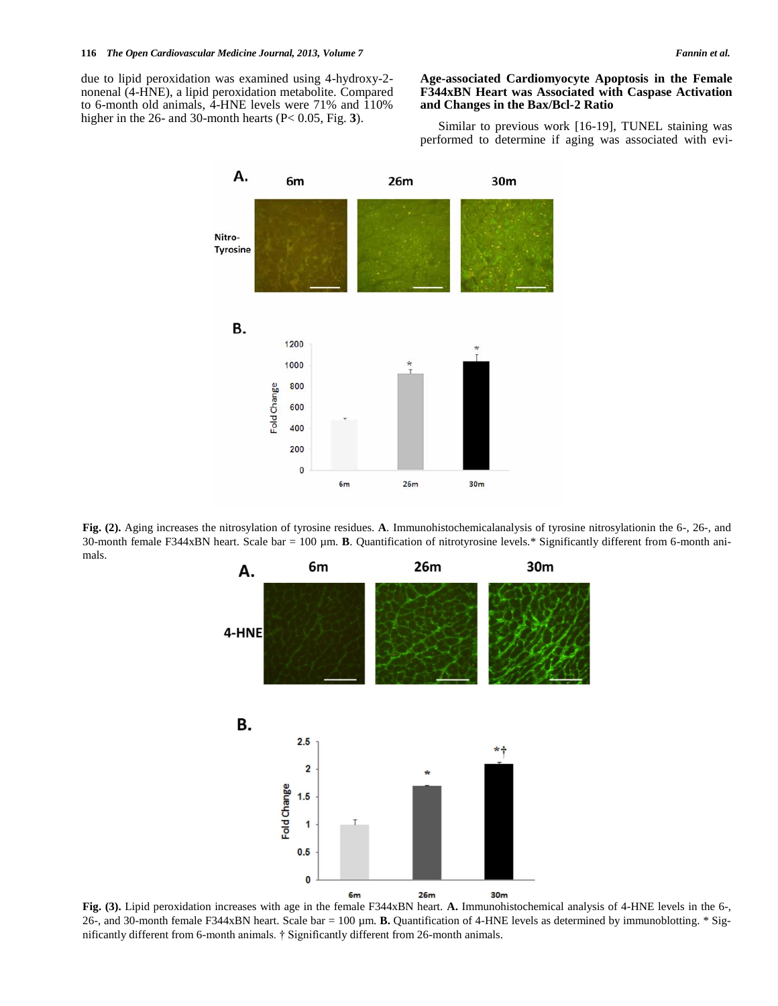due to lipid peroxidation was examined using 4-hydroxy-2 nonenal (4-HNE), a lipid peroxidation metabolite. Compared to 6-month old animals, 4-HNE levels were 71% and  $110\%$ higher in the 26- and 30-month hearts (P< 0.05, Fig. **3**).

# **Age-associated Cardiomyocyte Apoptosis in the Female F344xBN Heart was Associated with Caspase Activation and Changes in the Bax/Bcl-2 Ratio**

 Similar to previous work [\[16-19\]](#page-7-11), TUNEL staining was performed to determine if aging was associated with evi-



**Fig. (2).** Aging increases the nitrosylation of tyrosine residues. **A**. Immunohistochemicalanalysis of tyrosine nitrosylationin the 6-, 26-, and 30-month female F344xBN heart. Scale bar =  $100 \mu m$ . **B**. Quantification of nitrotyrosine levels.\* Significantly different from 6-month animals.



**Fig. (3).** Lipid peroxidation increases with age in the female F344xBN heart. **A.** Immunohistochemical analysis of 4-HNE levels in the 6-, 26-, and 30-month female F344xBN heart. Scale bar = 100 µm. **B.** Quantification of 4-HNE levels as determined by immunoblotting. \* Significantly different from 6-month animals. † Significantly different from 26-month animals.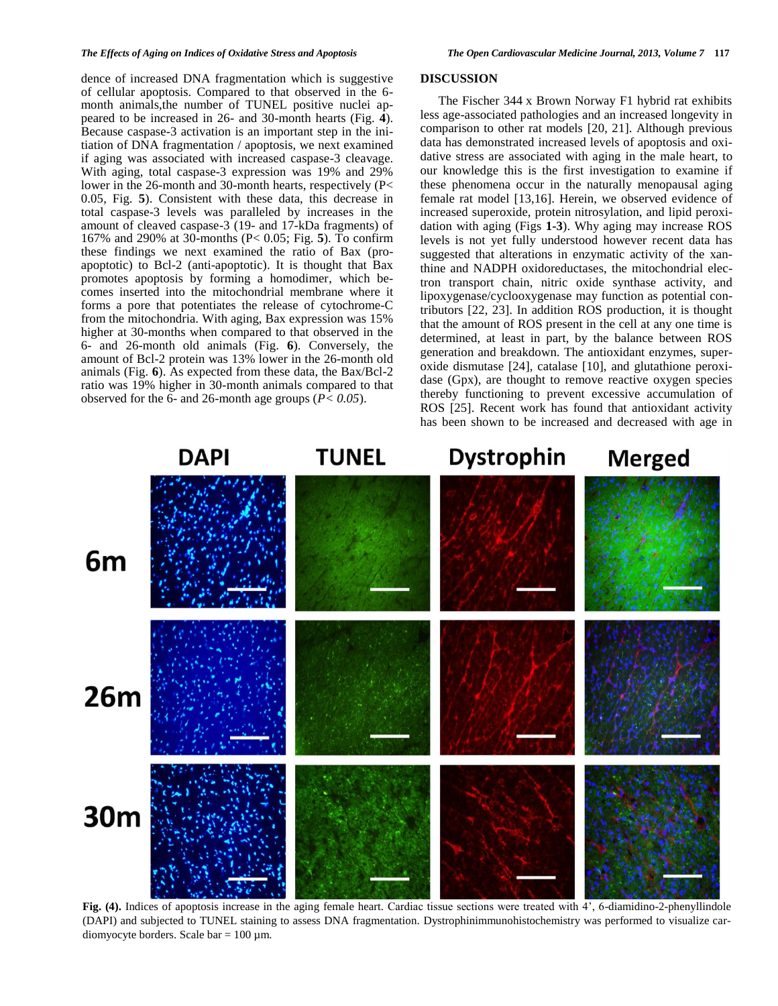dence of increased DNA fragmentation which is suggestive of cellular apoptosis. Compared to that observed in the 6 month animals,the number of TUNEL positive nuclei appeared to be increased in 26- and 30-month hearts (Fig. **4**). Because caspase-3 activation is an important step in the initiation of DNA fragmentation / apoptosis, we next examined if aging was associated with increased caspase-3 cleavage. With aging, total caspase-3 expression was 19% and 29% lower in the 26-month and 30-month hearts, respectively (P< 0.05, Fig. **5**). Consistent with these data, this decrease in total caspase-3 levels was paralleled by increases in the amount of cleaved caspase-3 (19- and 17-kDa fragments) of 167% and 290% at 30-months (P< 0.05; Fig. **5**). To confirm these findings we next examined the ratio of Bax (proapoptotic) to Bcl-2 (anti-apoptotic). It is thought that Bax promotes apoptosis by forming a homodimer, which becomes inserted into the mitochondrial membrane where it forms a pore that potentiates the release of cytochrome-C from the mitochondria. With aging, Bax expression was 15% higher at 30-months when compared to that observed in the 6- and 26-month old animals (Fig. **6**). Conversely, the amount of Bcl-2 protein was 13% lower in the 26-month old animals (Fig. **6**). As expected from these data, the Bax/Bcl-2 ratio was 19% higher in 30-month animals compared to that observed for the 6- and 26-month age groups (*P< 0.05*).

# **DISCUSSION**

 The Fischer 344 x Brown Norway F1 hybrid rat exhibits less age-associated pathologies and an increased longevity in comparison to other rat models [\[20,](#page-7-12) [21\]](#page-7-13). Although previous data has demonstrated increased levels of apoptosis and oxidative stress are associated with aging in the male heart, to our knowledge this is the first investigation to examine if these phenomena occur in the naturally menopausal aging female rat model [1[3,16\]](#page-7-11). Herein, we observed evidence of increased superoxide, protein nitrosylation, and lipid peroxidation with aging (Figs **1-3**). Why aging may increase ROS levels is not yet fully understood however recent data has suggested that alterations in enzymatic activity of the xanthine and NADPH oxidoreductases, the mitochondrial electron transport chain, nitric oxide synthase activity, and lipoxygenase/cyclooxygenase may function as potential contributors [\[22,](#page-7-14) [23\]](#page-7-15). In addition ROS production, it is thought that the amount of ROS present in the cell at any one time is determined, at least in part, by the balance between ROS generation and breakdown. The antioxidant enzymes, superoxide dismutase [\[24\]](#page-7-16), catalase [\[10\]](#page-7-5), and glutathione peroxidase (Gpx), are thought to remove reactive oxygen species thereby functioning to prevent excessive accumulation of ROS [\[25\]](#page-7-17). Recent work has found that antioxidant activity has been shown to be increased and decreased with age in



**Fig. (4).** Indices of apoptosis increase in the aging female heart. Cardiac tissue sections were treated with 4', 6-diamidino-2-phenyllindole (DAPI) and subjected to TUNEL staining to assess DNA fragmentation. Dystrophinimmunohistochemistry was performed to visualize cardiomyocyte borders. Scale bar =  $100 \mu$ m.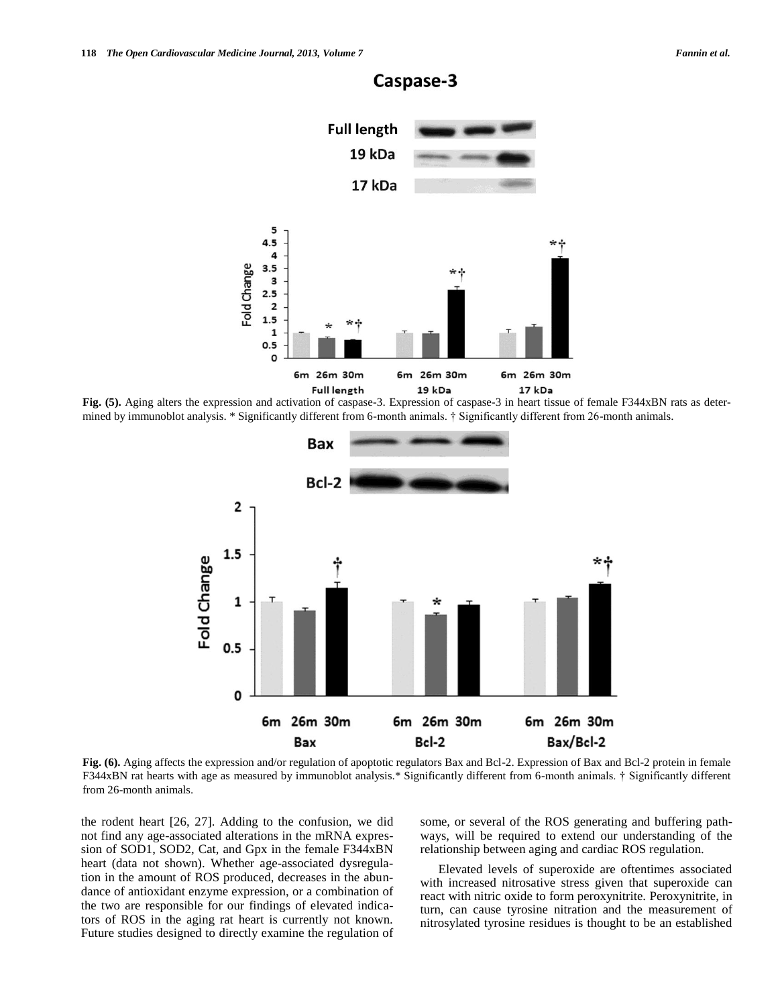

# Caspase-3

**Fig. (5).** Aging alters the expression and activation of caspase-3. Expression of caspase-3 in heart tissue of female F344xBN rats as determined by immunoblot analysis. \* Significantly different from 6-month animals. † Significantly different from 26-month animals.



**Fig. (6).** Aging affects the expression and/or regulation of apoptotic regulators Bax and Bcl-2. Expression of Bax and Bcl-2 protein in female F344xBN rat hearts with age as measured by immunoblot analysis.\* Significantly different from 6-month animals. † Significantly different from 26-month animals.

the rodent heart [\[26,](#page-7-18) [27\]](#page-7-19). Adding to the confusion, we did not find any age-associated alterations in the mRNA expression of SOD1, SOD2, Cat, and Gpx in the female F344xBN heart (data not shown). Whether age-associated dysregulation in the amount of ROS produced, decreases in the abundance of antioxidant enzyme expression, or a combination of the two are responsible for our findings of elevated indicators of ROS in the aging rat heart is currently not known. Future studies designed to directly examine the regulation of some, or several of the ROS generating and buffering pathways, will be required to extend our understanding of the relationship between aging and cardiac ROS regulation.

 Elevated levels of superoxide are oftentimes associated with increased nitrosative stress given that superoxide can react with nitric oxide to form peroxynitrite. Peroxynitrite, in turn, can cause tyrosine nitration and the measurement of nitrosylated tyrosine residues is thought to be an established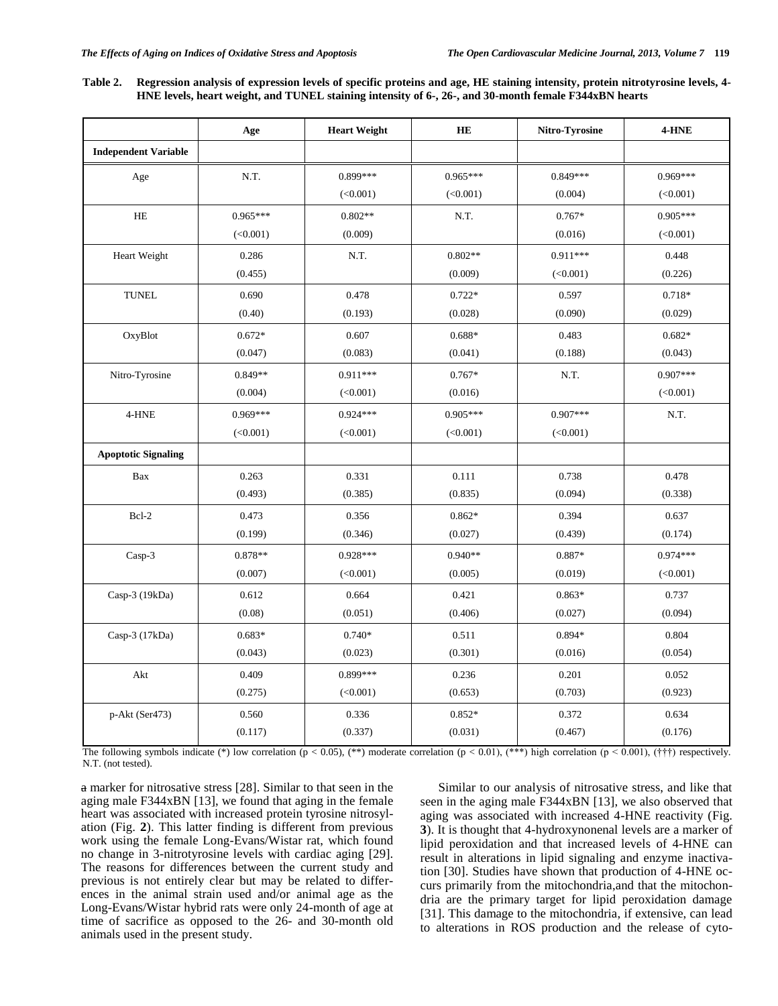**Table 2. Regression analysis of expression levels of specific proteins and age, HE staining intensity, protein nitrotyrosine levels, 4- HNE levels, heart weight, and TUNEL staining intensity of 6-, 26-, and 30-month female F344xBN hearts**

|                             | Age        | <b>Heart Weight</b> | <b>HE</b>  | Nitro-Tyrosine | 4-HNE      |
|-----------------------------|------------|---------------------|------------|----------------|------------|
| <b>Independent Variable</b> |            |                     |            |                |            |
| Age                         | N.T.       | $0.899***$          | $0.965***$ | $0.849***$     | $0.969***$ |
|                             |            | (<0.001)            | (<0.001)   | (0.004)        | (<0.001)   |
| $\rm HE$                    | $0.965***$ | $0.802**$           | N.T.       | $0.767*$       | $0.905***$ |
|                             | (<0.001)   | (0.009)             |            | (0.016)        | (<0.001)   |
| Heart Weight                | 0.286      | N.T.                | $0.802**$  | $0.911***$     | 0.448      |
|                             | (0.455)    |                     | (0.009)    | (<0.001)       | (0.226)    |
| <b>TUNEL</b>                | 0.690      | 0.478               | $0.722*$   | 0.597          | 0.718*     |
|                             | (0.40)     | (0.193)             | (0.028)    | (0.090)        | (0.029)    |
| OxyBlot                     | $0.672*$   | 0.607               | $0.688*$   | 0.483          | $0.682*$   |
|                             | (0.047)    | (0.083)             | (0.041)    | (0.188)        | (0.043)    |
| Nitro-Tyrosine              | $0.849**$  | $0.911***$          | $0.767*$   | N.T.           | $0.907***$ |
|                             | (0.004)    | (<0.001)            | (0.016)    |                | (<0.001)   |
| 4-HNE                       | $0.969***$ | $0.924***$          | $0.905***$ | $0.907***$     | N.T.       |
|                             | (<0.001)   | (<0.001)            | (<0.001)   | (<0.001)       |            |
| <b>Apoptotic Signaling</b>  |            |                     |            |                |            |
| Bax                         | 0.263      | 0.331               | 0.111      | 0.738          | 0.478      |
|                             | (0.493)    | (0.385)             | (0.835)    | (0.094)        | (0.338)    |
| Bcl-2                       | 0.473      | 0.356               | $0.862*$   | 0.394          | 0.637      |
|                             | (0.199)    | (0.346)             | (0.027)    | (0.439)        | (0.174)    |
| Casp-3                      | $0.878**$  | $0.928***$          | $0.940**$  | 0.887*         | $0.974***$ |
|                             | (0.007)    | (<0.001)            | (0.005)    | (0.019)        | (<0.001)   |
| Casp-3 $(19kDa)$            | 0.612      | 0.664               | 0.421      | $0.863*$       | 0.737      |
|                             | (0.08)     | (0.051)             | (0.406)    | (0.027)        | (0.094)    |
| Casp-3 (17kDa)              | $0.683*$   | $0.740*$            | 0.511      | $0.894*$       | 0.804      |
|                             | (0.043)    | (0.023)             | (0.301)    | (0.016)        | (0.054)    |
| Akt                         | 0.409      | $0.899***$          | 0.236      | 0.201          | 0.052      |
|                             | (0.275)    | (<0.001)            | (0.653)    | (0.703)        | (0.923)    |
| p-Akt (Ser473)              | 0.560      | 0.336               | $0.852*$   | 0.372          | 0.634      |
|                             | (0.117)    | (0.337)             | (0.031)    | (0.467)        | (0.176)    |

The following symbols indicate (\*) low correlation (p < 0.05), (\*\*) moderate correlation (p < 0.01), (\*\*\*) high correlation (p < 0.001), (†††) respectively. N.T. (not tested).

a marker for nitrosative stress [\[28\]](#page-8-0). Similar to that seen in the aging male F344xBN [\[13\]](#page-7-8), we found that aging in the female heart was associated with increased protein tyrosine nitrosylation (Fig. **2**). This latter finding is different from previous work using the female Long-Evans/Wistar rat, which found no change in 3-nitrotyrosine levels with cardiac aging [\[29\]](#page-8-1). The reasons for differences between the current study and previous is not entirely clear but may be related to differences in the animal strain used and/or animal age as the Long-Evans/Wistar hybrid rats were only 24-month of age at time of sacrifice as opposed to the 26- and 30-month old animals used in the present study.

 Similar to our analysis of nitrosative stress, and like that seen in the aging male F344xBN [\[13\]](#page-7-8), we also observed that aging was associated with increased 4-HNE reactivity (Fig. **3**). It is thought that 4-hydroxynonenal levels are a marker of lipid peroxidation and that increased levels of 4-HNE can result in alterations in lipid signaling and enzyme inactivation [\[30\]](#page-8-2). Studies have shown that production of 4-HNE occurs primarily from the mitochondria,and that the mitochondria are the primary target for lipid peroxidation damage [\[31\]](#page-8-3). This damage to the mitochondria, if extensive, can lead to alterations in ROS production and the release of cyto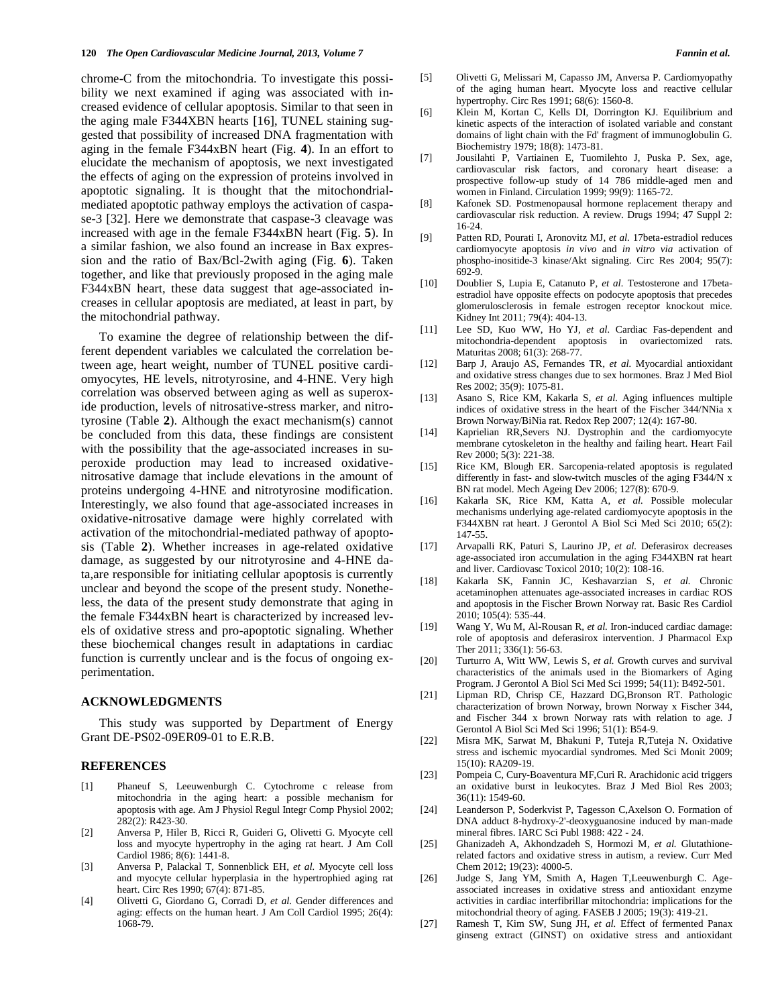chrome-C from the mitochondria. To investigate this possibility we next examined if aging was associated with increased evidence of cellular apoptosis. Similar to that seen in the aging male F344XBN hearts [\[16\]](#page-7-11), TUNEL staining suggested that possibility of increased DNA fragmentation with aging in the female F344xBN heart (Fig. **4**). In an effort to elucidate the mechanism of apoptosis, we next investigated the effects of aging on the expression of proteins involved in apoptotic signaling. It is thought that the mitochondrialmediated apoptotic pathway employs the activation of caspase-3 [\[32\]](#page-8-4). Here we demonstrate that caspase-3 cleavage was increased with age in the female F344xBN heart (Fig. **5**). In a similar fashion, we also found an increase in Bax expression and the ratio of Bax/Bcl-2with aging (Fig. **6**). Taken together, and like that previously proposed in the aging male F344xBN heart, these data suggest that age-associated increases in cellular apoptosis are mediated, at least in part, by the mitochondrial pathway.

 To examine the degree of relationship between the different dependent variables we calculated the correlation between age, heart weight, number of TUNEL positive cardiomyocytes, HE levels, nitrotyrosine, and 4-HNE. Very high correlation was observed between aging as well as superoxide production, levels of nitrosative-stress marker, and nitrotyrosine (Table **2**). Although the exact mechanism(s) cannot be concluded from this data, these findings are consistent with the possibility that the age-associated increases in superoxide production may lead to increased oxidativenitrosative damage that include elevations in the amount of proteins undergoing 4-HNE and nitrotyrosine modification. Interestingly, we also found that age-associated increases in oxidative-nitrosative damage were highly correlated with activation of the mitochondrial-mediated pathway of apoptosis (Table **2**). Whether increases in age-related oxidative damage, as suggested by our nitrotyrosine and 4-HNE data,are responsible for initiating cellular apoptosis is currently unclear and beyond the scope of the present study. Nonetheless, the data of the present study demonstrate that aging in the female F344xBN heart is characterized by increased levels of oxidative stress and pro-apoptotic signaling. Whether these biochemical changes result in adaptations in cardiac function is currently unclear and is the focus of ongoing experimentation.

# **ACKNOWLEDGMENTS**

 This study was supported by Department of Energy Grant DE-PS02-09ER09-01 to E.R.B.

### **REFERENCES**

- <span id="page-7-0"></span>[1] Phaneuf S, Leeuwenburgh C. Cytochrome c release from mitochondria in the aging heart: a possible mechanism for apoptosis with age. Am J Physiol Regul Integr Comp Physiol 2002; 282(2): R423-30.
- [2] Anversa P, Hiler B, Ricci R, Guideri G, Olivetti G. Myocyte cell loss and myocyte hypertrophy in the aging rat heart. J Am Coll Cardiol 1986; 8(6): 1441-8.
- [3] Anversa P, Palackal T, Sonnenblick EH*, et al.* Myocyte cell loss and myocyte cellular hyperplasia in the hypertrophied aging rat heart. Circ Res 1990; 67(4): 871-85.
- [4] Olivetti G, Giordano G, Corradi D*, et al.* Gender differences and aging: effects on the human heart. J Am Coll Cardiol 1995; 26(4): 1068-79.
- [5] Olivetti G, Melissari M, Capasso JM, Anversa P. Cardiomyopathy of the aging human heart. Myocyte loss and reactive cellular hypertrophy. Circ Res 1991; 68(6): 1560-8.
- <span id="page-7-1"></span>[6] Klein M, Kortan C, Kells DI, Dorrington KJ. Equilibrium and kinetic aspects of the interaction of isolated variable and constant domains of light chain with the Fd' fragment of immunoglobulin G. Biochemistry 1979; 18(8): 1473-81.
- <span id="page-7-2"></span>[7] Jousilahti P, Vartiainen E, Tuomilehto J, Puska P. Sex, age, cardiovascular risk factors, and coronary heart disease: a prospective follow-up study of 14 786 middle-aged men and women in Finland. Circulation 1999; 99(9): 1165-72.
- <span id="page-7-3"></span>[8] Kafonek SD. Postmenopausal hormone replacement therapy and cardiovascular risk reduction. A review. Drugs 1994; 47 Suppl 2: 16-24.
- <span id="page-7-4"></span>[9] Patten RD, Pourati I, Aronovitz MJ*, et al.* 17beta-estradiol reduces cardiomyocyte apoptosis *in vivo* and *in vitro via* activation of phospho-inositide-3 kinase/Akt signaling. Circ Res 2004; 95(7): 692-9.
- <span id="page-7-5"></span>[10] Doublier S, Lupia E, Catanuto P*, et al.* Testosterone and 17betaestradiol have opposite effects on podocyte apoptosis that precedes glomerulosclerosis in female estrogen receptor knockout mice. Kidney Int 2011; 79(4): 404-13.
- <span id="page-7-6"></span>[11] Lee SD, Kuo WW, Ho YJ*, et al.* Cardiac Fas-dependent and mitochondria-dependent apoptosis in ovariectomized rats. Maturitas 2008; 61(3): 268-77.
- <span id="page-7-7"></span>[12] Barp J, Araujo AS, Fernandes TR*, et al.* Myocardial antioxidant and oxidative stress changes due to sex hormones. Braz J Med Biol Res 2002; 35(9): 1075-81.
- <span id="page-7-8"></span>[13] Asano S, Rice KM, Kakarla S*, et al.* Aging influences multiple indices of oxidative stress in the heart of the Fischer 344/NNia x Brown Norway/BiNia rat. Redox Rep 2007; 12(4): 167-80.
- <span id="page-7-9"></span>[14] Kaprielian RR,Severs NJ. Dystrophin and the cardiomyocyte membrane cytoskeleton in the healthy and failing heart. Heart Fail Rev 2000; 5(3): 221-38.
- <span id="page-7-10"></span>[15] Rice KM, Blough ER. Sarcopenia-related apoptosis is regulated differently in fast- and slow-twitch muscles of the aging F344/N x BN rat model. Mech Ageing Dev 2006; 127(8): 670-9.
- <span id="page-7-11"></span>[16] Kakarla SK, Rice KM, Katta A*, et al.* Possible molecular mechanisms underlying age-related cardiomyocyte apoptosis in the F344XBN rat heart. J Gerontol A Biol Sci Med Sci 2010; 65(2): 147-55.
- [17] Arvapalli RK, Paturi S, Laurino JP*, et al.* Deferasirox decreases age-associated iron accumulation in the aging F344XBN rat heart and liver. Cardiovasc Toxicol 2010; 10(2): 108-16.
- [18] Kakarla SK, Fannin JC, Keshavarzian S*, et al.* Chronic acetaminophen attenuates age-associated increases in cardiac ROS and apoptosis in the Fischer Brown Norway rat. Basic Res Cardiol 2010; 105(4): 535-44.
- [19] Wang Y, Wu M, Al-Rousan R*, et al.* Iron-induced cardiac damage: role of apoptosis and deferasirox intervention. J Pharmacol Exp Ther 2011; 336(1): 56-63.
- <span id="page-7-12"></span>[20] Turturro A, Witt WW, Lewis S, et al. Growth curves and survival characteristics of the animals used in the Biomarkers of Aging Program. J Gerontol A Biol Sci Med Sci 1999; 54(11): B492-501.
- <span id="page-7-13"></span>[21] Lipman RD, Chrisp CE, Hazzard DG,Bronson RT. Pathologic characterization of brown Norway, brown Norway x Fischer 344, and Fischer 344 x brown Norway rats with relation to age. J Gerontol A Biol Sci Med Sci 1996; 51(1): B54-9.
- <span id="page-7-14"></span>[22] Misra MK, Sarwat M, Bhakuni P, Tuteja R,Tuteja N. Oxidative stress and ischemic myocardial syndromes. Med Sci Monit 2009; 15(10): RA209-19.
- <span id="page-7-15"></span>[23] Pompeia C, Cury-Boaventura MF,Curi R. Arachidonic acid triggers an oxidative burst in leukocytes. Braz J Med Biol Res 2003; 36(11): 1549-60.
- <span id="page-7-16"></span>[24] Leanderson P, Soderkvist P, Tagesson C,Axelson O. Formation of DNA adduct 8-hydroxy-2'-deoxyguanosine induced by man-made mineral fibres. IARC Sci Publ 1988: 422 - 24.
- <span id="page-7-17"></span>[25] Ghanizadeh A, Akhondzadeh S, Hormozi M*, et al.* Glutathionerelated factors and oxidative stress in autism, a review. Curr Med Chem 2012; 19(23): 4000-5.
- <span id="page-7-18"></span>[26] Judge S, Jang YM, Smith A, Hagen T,Leeuwenburgh C. Ageassociated increases in oxidative stress and antioxidant enzyme activities in cardiac interfibrillar mitochondria: implications for the mitochondrial theory of aging. FASEB J 2005; 19(3): 419-21.
- <span id="page-7-19"></span>[27] Ramesh T, Kim SW, Sung JH*, et al.* Effect of fermented Panax ginseng extract (GINST) on oxidative stress and antioxidant